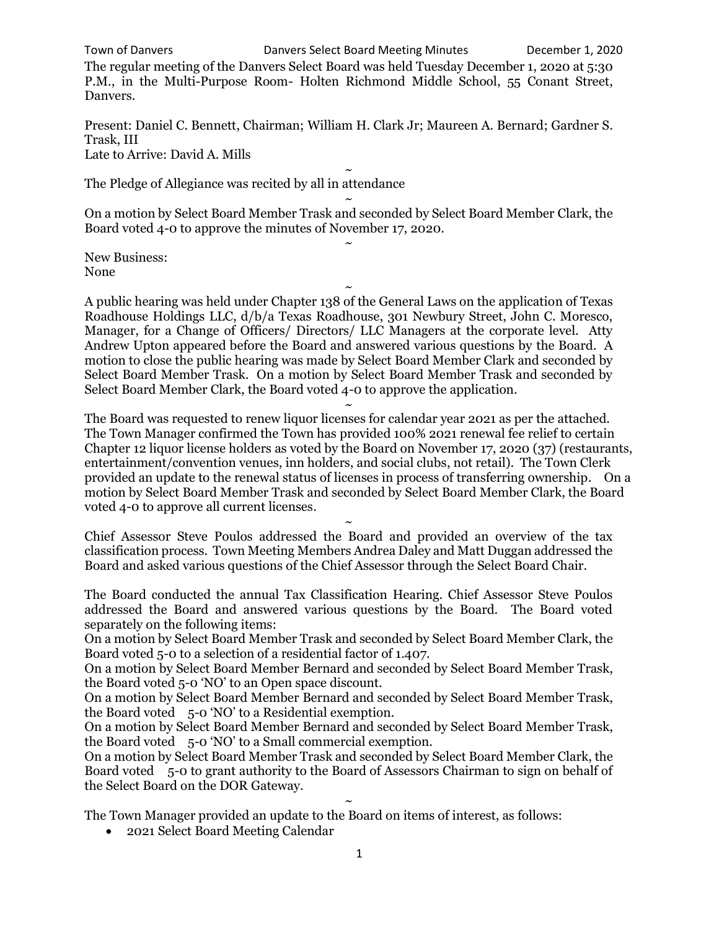Town of Danvers Danvers Select Board Meeting Minutes December 1, 2020

The regular meeting of the Danvers Select Board was held Tuesday December 1, 2020 at 5:30 P.M., in the Multi-Purpose Room- Holten Richmond Middle School, 55 Conant Street, Danvers.

Present: Daniel C. Bennett, Chairman; William H. Clark Jr; Maureen A. Bernard; Gardner S. Trask, III Late to Arrive: David A. Mills

 $\ddot{\phantom{0}}$ The Pledge of Allegiance was recited by all in attendance

~ On a motion by Select Board Member Trask and seconded by Select Board Member Clark, the Board voted 4-0 to approve the minutes of November 17, 2020. ~

New Business: None

A public hearing was held under Chapter 138 of the General Laws on the application of Texas Roadhouse Holdings LLC, d/b/a Texas Roadhouse, 301 Newbury Street, John C. Moresco, Manager, for a Change of Officers/ Directors/ LLC Managers at the corporate level. Atty Andrew Upton appeared before the Board and answered various questions by the Board. A motion to close the public hearing was made by Select Board Member Clark and seconded by Select Board Member Trask. On a motion by Select Board Member Trask and seconded by Select Board Member Clark, the Board voted 4-0 to approve the application.

~

~ The Board was requested to renew liquor licenses for calendar year 2021 as per the attached. The Town Manager confirmed the Town has provided 100% 2021 renewal fee relief to certain Chapter 12 liquor license holders as voted by the Board on November 17, 2020 (37) (restaurants, entertainment/convention venues, inn holders, and social clubs, not retail). The Town Clerk provided an update to the renewal status of licenses in process of transferring ownership. On a motion by Select Board Member Trask and seconded by Select Board Member Clark, the Board voted 4-0 to approve all current licenses.

 $\ddot{\phantom{0}}$ Chief Assessor Steve Poulos addressed the Board and provided an overview of the tax classification process. Town Meeting Members Andrea Daley and Matt Duggan addressed the Board and asked various questions of the Chief Assessor through the Select Board Chair.

The Board conducted the annual Tax Classification Hearing. Chief Assessor Steve Poulos addressed the Board and answered various questions by the Board. The Board voted separately on the following items:

On a motion by Select Board Member Trask and seconded by Select Board Member Clark, the Board voted 5-0 to a selection of a residential factor of 1.407.

On a motion by Select Board Member Bernard and seconded by Select Board Member Trask, the Board voted 5-0 'NO' to an Open space discount.

On a motion by Select Board Member Bernard and seconded by Select Board Member Trask, the Board voted 5-0 'NO' to a Residential exemption.

On a motion by Select Board Member Bernard and seconded by Select Board Member Trask, the Board voted 5-0 'NO' to a Small commercial exemption.

On a motion by Select Board Member Trask and seconded by Select Board Member Clark, the Board voted 5-0 to grant authority to the Board of Assessors Chairman to sign on behalf of the Select Board on the DOR Gateway.

~ The Town Manager provided an update to the Board on items of interest, as follows:

• 2021 Select Board Meeting Calendar